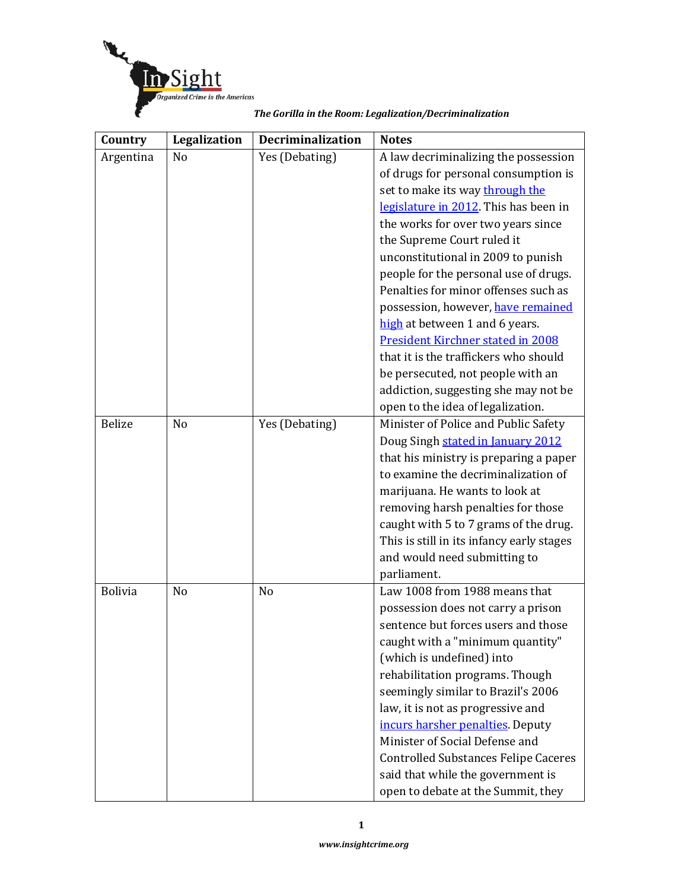

| Country        | Legalization   | <b>Decriminalization</b> | <b>Notes</b>                                |
|----------------|----------------|--------------------------|---------------------------------------------|
| Argentina      | N <sub>o</sub> | Yes (Debating)           | A law decriminalizing the possession        |
|                |                |                          | of drugs for personal consumption is        |
|                |                |                          | set to make its way through the             |
|                |                |                          | legislature in 2012. This has been in       |
|                |                |                          | the works for over two years since          |
|                |                |                          | the Supreme Court ruled it                  |
|                |                |                          | unconstitutional in 2009 to punish          |
|                |                |                          | people for the personal use of drugs.       |
|                |                |                          | Penalties for minor offenses such as        |
|                |                |                          | possession, however, have remained          |
|                |                |                          | high at between 1 and 6 years.              |
|                |                |                          | <b>President Kirchner stated in 2008</b>    |
|                |                |                          | that it is the traffickers who should       |
|                |                |                          | be persecuted, not people with an           |
|                |                |                          | addiction, suggesting she may not be        |
|                |                |                          | open to the idea of legalization.           |
| <b>Belize</b>  | N <sub>o</sub> | Yes (Debating)           | Minister of Police and Public Safety        |
|                |                |                          | Doug Singh stated in January 2012           |
|                |                |                          | that his ministry is preparing a paper      |
|                |                |                          | to examine the decriminalization of         |
|                |                |                          | marijuana. He wants to look at              |
|                |                |                          | removing harsh penalties for those          |
|                |                |                          | caught with 5 to 7 grams of the drug.       |
|                |                |                          | This is still in its infancy early stages   |
|                |                |                          | and would need submitting to                |
|                |                |                          | parliament.                                 |
| <b>Bolivia</b> | N <sub>o</sub> | N <sub>o</sub>           | Law 1008 from 1988 means that               |
|                |                |                          | possession does not carry a prison          |
|                |                |                          | sentence but forces users and those         |
|                |                |                          | caught with a "minimum quantity"            |
|                |                |                          | (which is undefined) into                   |
|                |                |                          | rehabilitation programs. Though             |
|                |                |                          | seemingly similar to Brazil's 2006          |
|                |                |                          | law, it is not as progressive and           |
|                |                |                          | incurs harsher penalties. Deputy            |
|                |                |                          | Minister of Social Defense and              |
|                |                |                          | <b>Controlled Substances Felipe Caceres</b> |
|                |                |                          | said that while the government is           |
|                |                |                          | open to debate at the Summit, they          |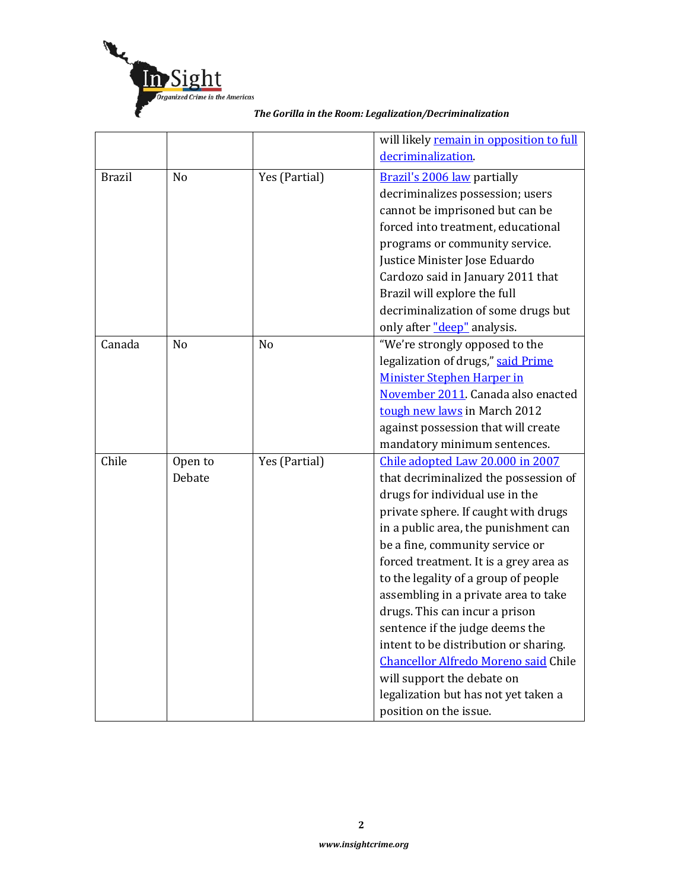

|               |                |                | will likely remain in opposition to full    |
|---------------|----------------|----------------|---------------------------------------------|
|               |                |                | decriminalization.                          |
| <b>Brazil</b> | N <sub>o</sub> | Yes (Partial)  | Brazil's 2006 law partially                 |
|               |                |                | decriminalizes possession; users            |
|               |                |                | cannot be imprisoned but can be             |
|               |                |                | forced into treatment, educational          |
|               |                |                | programs or community service.              |
|               |                |                | Justice Minister Jose Eduardo               |
|               |                |                | Cardozo said in January 2011 that           |
|               |                |                | Brazil will explore the full                |
|               |                |                | decriminalization of some drugs but         |
|               |                |                | only after "deep" analysis.                 |
| Canada        | N <sub>o</sub> | N <sub>o</sub> | "We're strongly opposed to the              |
|               |                |                | legalization of drugs," said Prime          |
|               |                |                | <b>Minister Stephen Harper in</b>           |
|               |                |                | November 2011. Canada also enacted          |
|               |                |                | tough new laws in March 2012                |
|               |                |                | against possession that will create         |
|               |                |                | mandatory minimum sentences.                |
| Chile         | Open to        | Yes (Partial)  | Chile adopted Law 20.000 in 2007            |
|               | Debate         |                | that decriminalized the possession of       |
|               |                |                | drugs for individual use in the             |
|               |                |                | private sphere. If caught with drugs        |
|               |                |                | in a public area, the punishment can        |
|               |                |                | be a fine, community service or             |
|               |                |                | forced treatment. It is a grey area as      |
|               |                |                | to the legality of a group of people        |
|               |                |                | assembling in a private area to take        |
|               |                |                | drugs. This can incur a prison              |
|               |                |                | sentence if the judge deems the             |
|               |                |                | intent to be distribution or sharing.       |
|               |                |                | <b>Chancellor Alfredo Moreno said Chile</b> |
|               |                |                | will support the debate on                  |
|               |                |                | legalization but has not yet taken a        |
|               |                |                | position on the issue.                      |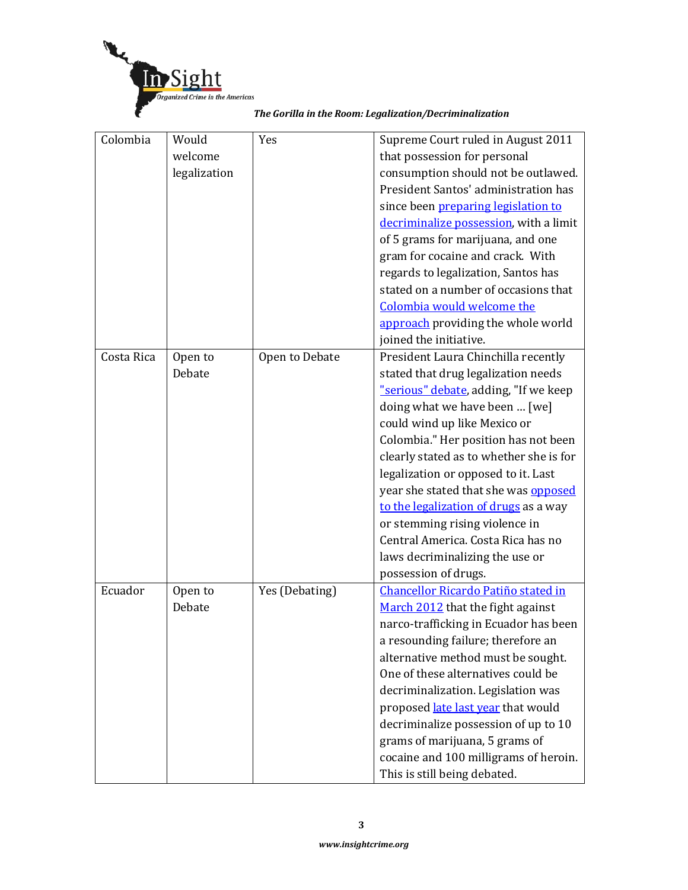

|  |  | The Gorilla in the Room: Legalization/Decriminalization |  |  |
|--|--|---------------------------------------------------------|--|--|
|  |  |                                                         |  |  |

| Colombia   | Would        | Yes            | Supreme Court ruled in August 2011      |
|------------|--------------|----------------|-----------------------------------------|
|            | welcome      |                | that possession for personal            |
|            | legalization |                | consumption should not be outlawed.     |
|            |              |                | President Santos' administration has    |
|            |              |                | since been preparing legislation to     |
|            |              |                | decriminalize possession, with a limit  |
|            |              |                | of 5 grams for marijuana, and one       |
|            |              |                | gram for cocaine and crack. With        |
|            |              |                | regards to legalization, Santos has     |
|            |              |                | stated on a number of occasions that    |
|            |              |                | Colombia would welcome the              |
|            |              |                | approach providing the whole world      |
|            |              |                | joined the initiative.                  |
| Costa Rica | Open to      | Open to Debate | President Laura Chinchilla recently     |
|            | Debate       |                | stated that drug legalization needs     |
|            |              |                | "serious" debate, adding, "If we keep   |
|            |              |                | doing what we have been  [we]           |
|            |              |                | could wind up like Mexico or            |
|            |              |                | Colombia." Her position has not been    |
|            |              |                | clearly stated as to whether she is for |
|            |              |                | legalization or opposed to it. Last     |
|            |              |                | year she stated that she was opposed    |
|            |              |                | to the legalization of drugs as a way   |
|            |              |                | or stemming rising violence in          |
|            |              |                | Central America. Costa Rica has no      |
|            |              |                | laws decriminalizing the use or         |
|            |              |                | possession of drugs.                    |
| Ecuador    | Open to      | Yes (Debating) | Chancellor Ricardo Patiño stated in     |
|            | Debate       |                | March 2012 that the fight against       |
|            |              |                | narco-trafficking in Ecuador has been   |
|            |              |                | a resounding failure; therefore an      |
|            |              |                | alternative method must be sought.      |
|            |              |                | One of these alternatives could be      |
|            |              |                | decriminalization. Legislation was      |
|            |              |                | proposed late last year that would      |
|            |              |                | decriminalize possession of up to 10    |
|            |              |                | grams of marijuana, 5 grams of          |
|            |              |                | cocaine and 100 milligrams of heroin.   |
|            |              |                | This is still being debated.            |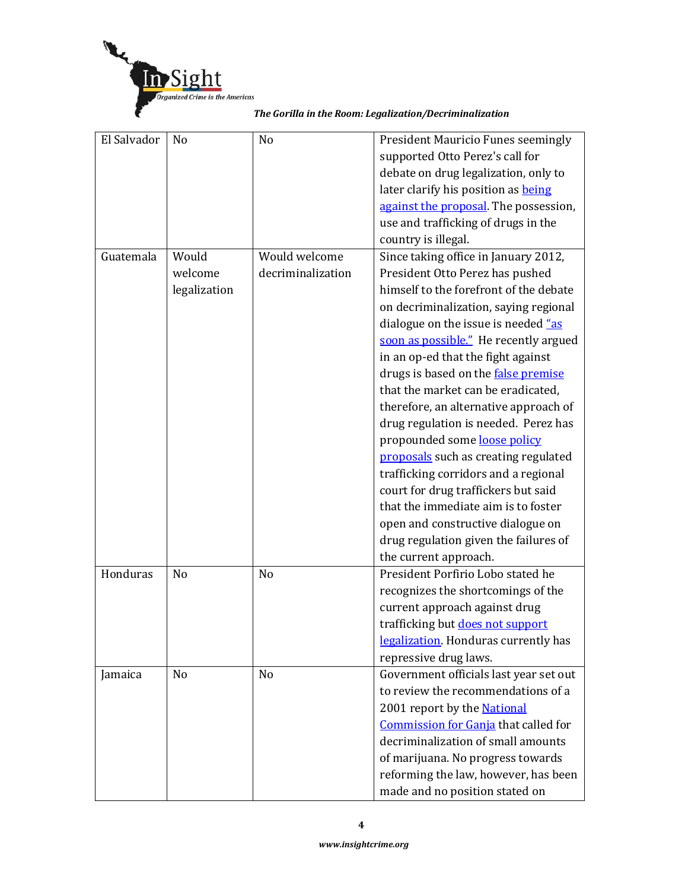

| El Salvador | N <sub>0</sub> | N <sub>o</sub>    | President Mauricio Funes seemingly     |
|-------------|----------------|-------------------|----------------------------------------|
|             |                |                   | supported Otto Perez's call for        |
|             |                |                   | debate on drug legalization, only to   |
|             |                |                   | later clarify his position as being    |
|             |                |                   | against the proposal. The possession,  |
|             |                |                   | use and trafficking of drugs in the    |
|             |                |                   | country is illegal.                    |
| Guatemala   | Would          | Would welcome     | Since taking office in January 2012,   |
|             | welcome        | decriminalization | President Otto Perez has pushed        |
|             | legalization   |                   | himself to the forefront of the debate |
|             |                |                   | on decriminalization, saying regional  |
|             |                |                   | dialogue on the issue is needed "as    |
|             |                |                   | soon as possible." He recently argued  |

in an op-ed that the fight against drugs is based on the **false premise** that the market can be eradicated, therefore, an alternative approach of drug regulation is needed. Perez has

made and no position stated on

|          |                |                | propounded some loose policy           |
|----------|----------------|----------------|----------------------------------------|
|          |                |                | proposals such as creating regulated   |
|          |                |                | trafficking corridors and a regional   |
|          |                |                | court for drug traffickers but said    |
|          |                |                | that the immediate aim is to foster    |
|          |                |                | open and constructive dialogue on      |
|          |                |                | drug regulation given the failures of  |
|          |                |                | the current approach.                  |
| Honduras | N <sub>o</sub> | N <sub>o</sub> | President Porfirio Lobo stated he      |
|          |                |                | recognizes the shortcomings of the     |
|          |                |                | current approach against drug          |
|          |                |                | trafficking but does not support       |
|          |                |                | legalization. Honduras currently has   |
|          |                |                | repressive drug laws.                  |
| Jamaica  | No             | N <sub>o</sub> | Government officials last year set out |
|          |                |                | to review the recommendations of a     |
|          |                |                | 2001 report by the <b>National</b>     |
|          |                |                | Commission for Ganja that called for   |
|          |                |                | decriminalization of small amounts     |
|          |                |                | of marijuana. No progress towards      |
|          |                |                | reforming the law, however, has been   |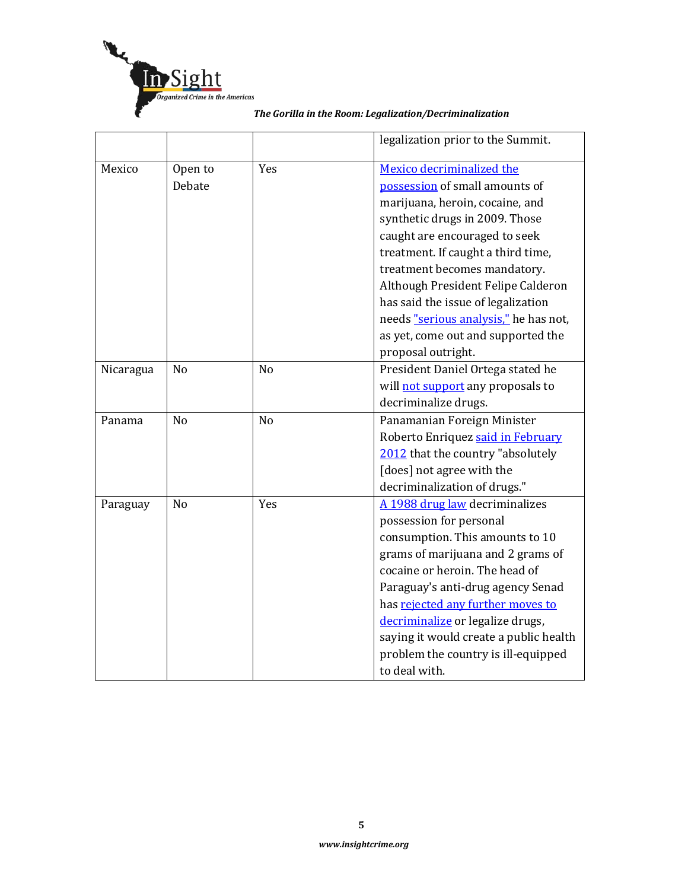

|           |                |                | legalization prior to the Summit.      |
|-----------|----------------|----------------|----------------------------------------|
| Mexico    | Open to        | Yes            | Mexico decriminalized the              |
|           | Debate         |                | possession of small amounts of         |
|           |                |                | marijuana, heroin, cocaine, and        |
|           |                |                | synthetic drugs in 2009. Those         |
|           |                |                | caught are encouraged to seek          |
|           |                |                | treatment. If caught a third time,     |
|           |                |                | treatment becomes mandatory.           |
|           |                |                | Although President Felipe Calderon     |
|           |                |                | has said the issue of legalization     |
|           |                |                | needs "serious analysis," he has not,  |
|           |                |                | as yet, come out and supported the     |
|           |                |                | proposal outright.                     |
| Nicaragua | N <sub>o</sub> | N <sub>o</sub> | President Daniel Ortega stated he      |
|           |                |                | will not support any proposals to      |
|           |                |                | decriminalize drugs.                   |
| Panama    | No             | N <sub>o</sub> | Panamanian Foreign Minister            |
|           |                |                | Roberto Enriquez said in February      |
|           |                |                | 2012 that the country "absolutely      |
|           |                |                | [does] not agree with the              |
|           |                |                | decriminalization of drugs."           |
| Paraguay  | No             | Yes            | A 1988 drug law decriminalizes         |
|           |                |                | possession for personal                |
|           |                |                | consumption. This amounts to 10        |
|           |                |                | grams of marijuana and 2 grams of      |
|           |                |                | cocaine or heroin. The head of         |
|           |                |                | Paraguay's anti-drug agency Senad      |
|           |                |                | has rejected any further moves to      |
|           |                |                | decriminalize or legalize drugs,       |
|           |                |                | saying it would create a public health |
|           |                |                | problem the country is ill-equipped    |
|           |                |                | to deal with.                          |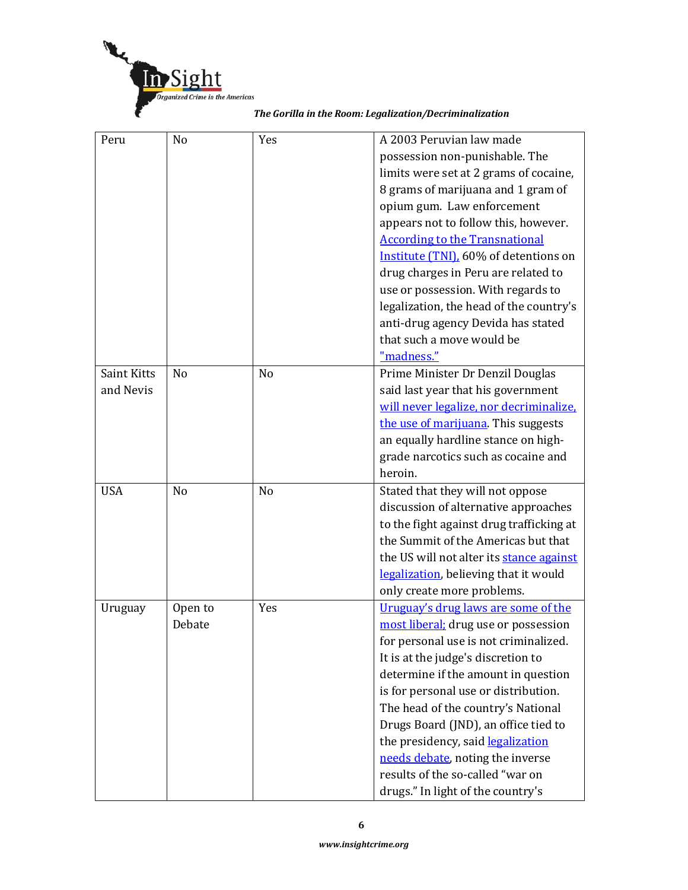

| Peru               | No             | Yes            | A 2003 Peruvian law made                 |
|--------------------|----------------|----------------|------------------------------------------|
|                    |                |                | possession non-punishable. The           |
|                    |                |                | limits were set at 2 grams of cocaine,   |
|                    |                |                | 8 grams of marijuana and 1 gram of       |
|                    |                |                | opium gum. Law enforcement               |
|                    |                |                | appears not to follow this, however.     |
|                    |                |                | <b>According to the Transnational</b>    |
|                    |                |                | Institute (TNI), 60% of detentions on    |
|                    |                |                | drug charges in Peru are related to      |
|                    |                |                | use or possession. With regards to       |
|                    |                |                | legalization, the head of the country's  |
|                    |                |                | anti-drug agency Devida has stated       |
|                    |                |                | that such a move would be                |
|                    |                |                | "madness."                               |
| <b>Saint Kitts</b> | N <sub>o</sub> | N <sub>o</sub> | Prime Minister Dr Denzil Douglas         |
| and Nevis          |                |                | said last year that his government       |
|                    |                |                | will never legalize, nor decriminalize,  |
|                    |                |                | the use of marijuana. This suggests      |
|                    |                |                | an equally hardline stance on high-      |
|                    |                |                | grade narcotics such as cocaine and      |
|                    |                |                | heroin.                                  |
| <b>USA</b>         | N <sub>o</sub> | N <sub>o</sub> | Stated that they will not oppose         |
|                    |                |                | discussion of alternative approaches     |
|                    |                |                | to the fight against drug trafficking at |
|                    |                |                | the Summit of the Americas but that      |
|                    |                |                | the US will not alter its stance against |
|                    |                |                | legalization, believing that it would    |
|                    |                |                | only create more problems.               |
| Uruguay            | Open to        | Yes            | Uruguay's drug laws are some of the      |
|                    | Debate         |                | most liberal; drug use or possession     |
|                    |                |                | for personal use is not criminalized.    |
|                    |                |                | It is at the judge's discretion to       |
|                    |                |                | determine if the amount in question      |
|                    |                |                | is for personal use or distribution.     |
|                    |                |                | The head of the country's National       |
|                    |                |                | Drugs Board (JND), an office tied to     |
|                    |                |                | the presidency, said legalization        |
|                    |                |                | needs debate, noting the inverse         |
|                    |                |                | results of the so-called "war on         |
|                    |                |                | drugs." In light of the country's        |